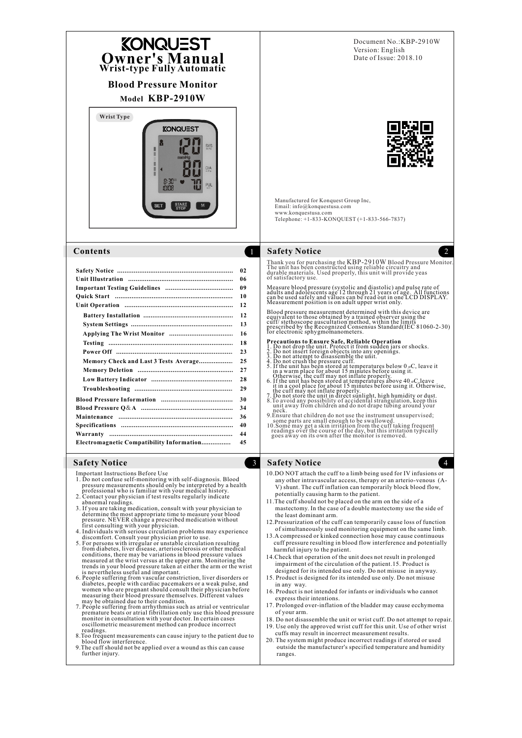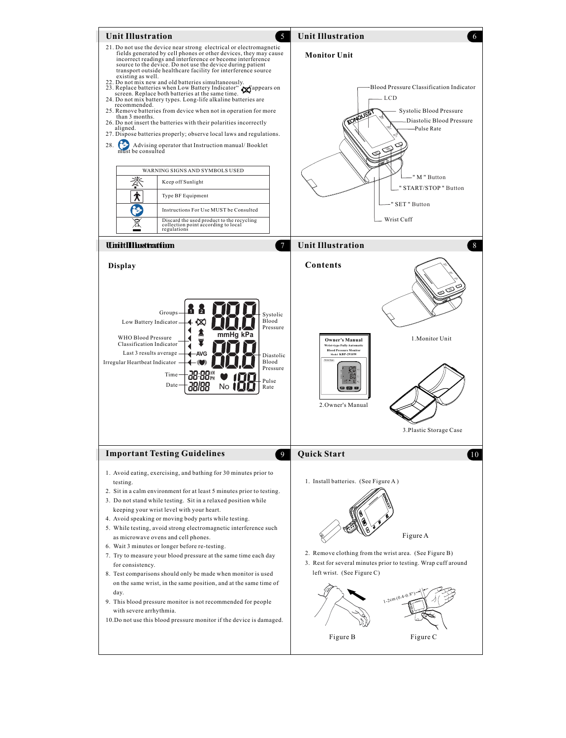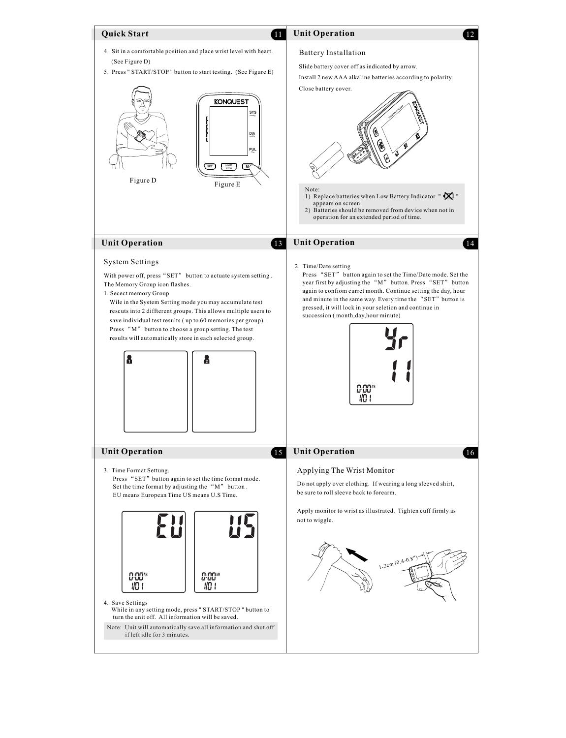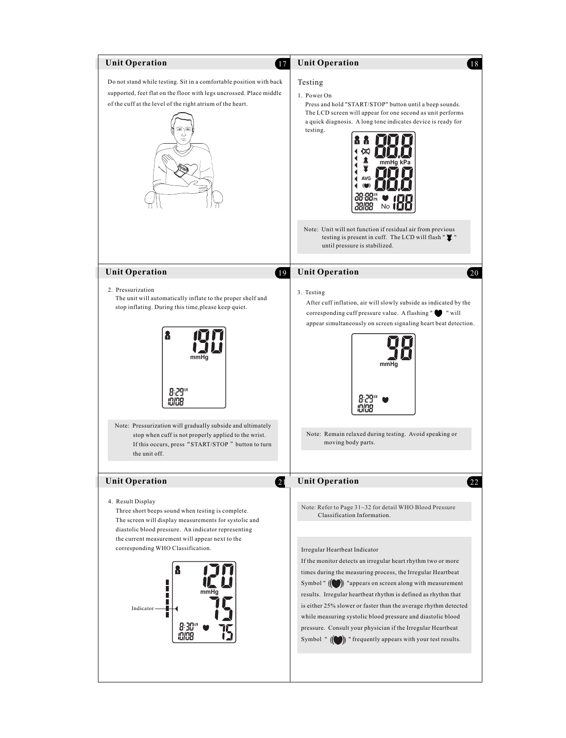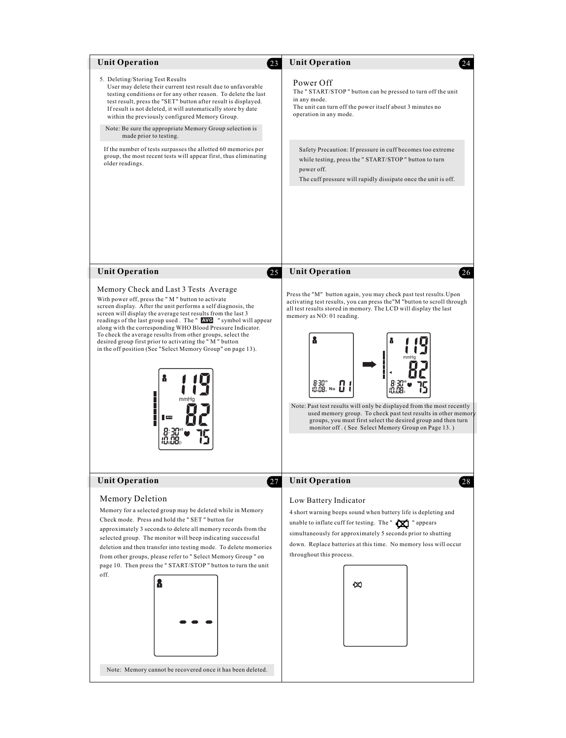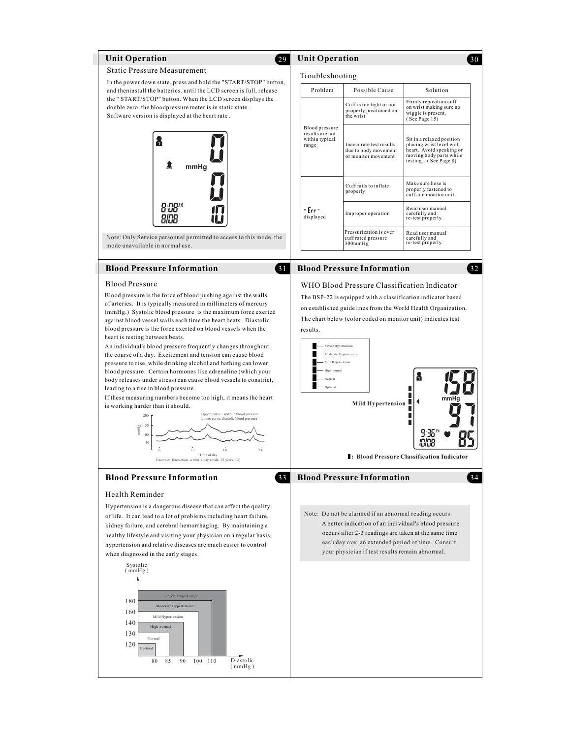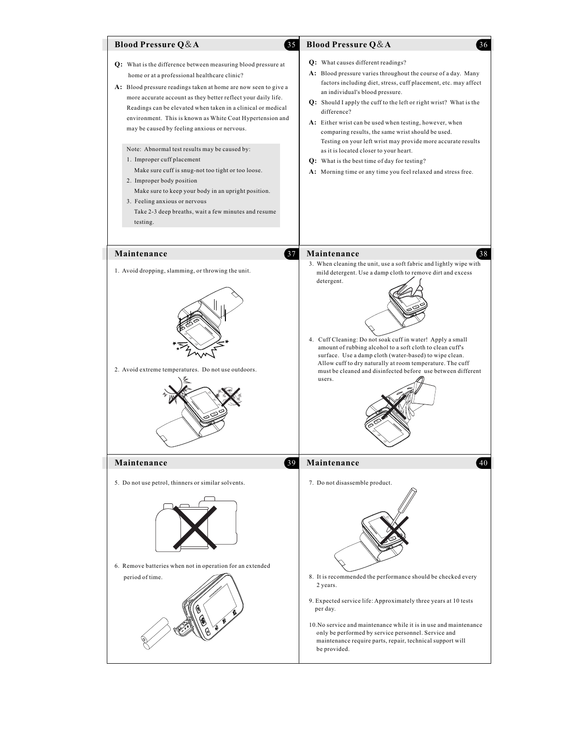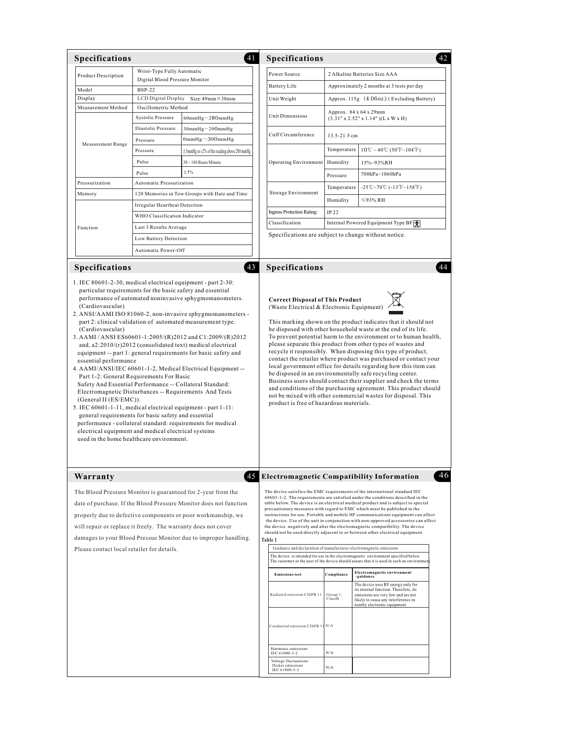| <b>Product Description</b>                                                                                                                                                                                                                                                                                 |                                                              |                                                                                                                                                                                                                                                                      | Specifications                                                                                                                                                                                                                                                                                                                                                                                                                                                                                                                                                                                                                                                                                                                                                                           |                                            |                                                                                                                                                                                                                                                                                                                                                                                                                                                                                                                                                                                                                                                                                |  |
|------------------------------------------------------------------------------------------------------------------------------------------------------------------------------------------------------------------------------------------------------------------------------------------------------------|--------------------------------------------------------------|----------------------------------------------------------------------------------------------------------------------------------------------------------------------------------------------------------------------------------------------------------------------|------------------------------------------------------------------------------------------------------------------------------------------------------------------------------------------------------------------------------------------------------------------------------------------------------------------------------------------------------------------------------------------------------------------------------------------------------------------------------------------------------------------------------------------------------------------------------------------------------------------------------------------------------------------------------------------------------------------------------------------------------------------------------------------|--------------------------------------------|--------------------------------------------------------------------------------------------------------------------------------------------------------------------------------------------------------------------------------------------------------------------------------------------------------------------------------------------------------------------------------------------------------------------------------------------------------------------------------------------------------------------------------------------------------------------------------------------------------------------------------------------------------------------------------|--|
|                                                                                                                                                                                                                                                                                                            | Wrist-Type Fully Automatic<br>Digital Blood Pressure Monitor |                                                                                                                                                                                                                                                                      | Power Source<br>2 Alkaline Batteries Size AAA                                                                                                                                                                                                                                                                                                                                                                                                                                                                                                                                                                                                                                                                                                                                            |                                            |                                                                                                                                                                                                                                                                                                                                                                                                                                                                                                                                                                                                                                                                                |  |
| Model                                                                                                                                                                                                                                                                                                      | <b>BSP-22</b>                                                |                                                                                                                                                                                                                                                                      | <b>Battery Life</b>                                                                                                                                                                                                                                                                                                                                                                                                                                                                                                                                                                                                                                                                                                                                                                      | Approximately 2 months at 3 tests per day  |                                                                                                                                                                                                                                                                                                                                                                                                                                                                                                                                                                                                                                                                                |  |
| Display                                                                                                                                                                                                                                                                                                    | LCD Digital Display<br>Size:49mm×38mm                        |                                                                                                                                                                                                                                                                      | Unit Weight                                                                                                                                                                                                                                                                                                                                                                                                                                                                                                                                                                                                                                                                                                                                                                              | Approx. 115g (4.06oz.) (Excluding Battery) |                                                                                                                                                                                                                                                                                                                                                                                                                                                                                                                                                                                                                                                                                |  |
| Measurement Method                                                                                                                                                                                                                                                                                         | Oscillometric Method                                         |                                                                                                                                                                                                                                                                      |                                                                                                                                                                                                                                                                                                                                                                                                                                                                                                                                                                                                                                                                                                                                                                                          | Approx. 84 x 64 x 29mm                     |                                                                                                                                                                                                                                                                                                                                                                                                                                                                                                                                                                                                                                                                                |  |
|                                                                                                                                                                                                                                                                                                            | Systolic Pressure                                            | $60mmHg\sim280mmHg$                                                                                                                                                                                                                                                  | Unit Dimensions                                                                                                                                                                                                                                                                                                                                                                                                                                                                                                                                                                                                                                                                                                                                                                          |                                            | (3.31" x 2.52" x 1.14")(L x W x H)                                                                                                                                                                                                                                                                                                                                                                                                                                                                                                                                                                                                                                             |  |
| <b>Measurement Range</b>                                                                                                                                                                                                                                                                                   | Diastolic Pressure                                           | $30mmHg\sim200mmHg$                                                                                                                                                                                                                                                  | Cuff Circumference                                                                                                                                                                                                                                                                                                                                                                                                                                                                                                                                                                                                                                                                                                                                                                       | 13.5-21.5 cm                               |                                                                                                                                                                                                                                                                                                                                                                                                                                                                                                                                                                                                                                                                                |  |
|                                                                                                                                                                                                                                                                                                            | Pressure                                                     | 0mm $Hg\sim 300$ mm $Hg$                                                                                                                                                                                                                                             |                                                                                                                                                                                                                                                                                                                                                                                                                                                                                                                                                                                                                                                                                                                                                                                          |                                            |                                                                                                                                                                                                                                                                                                                                                                                                                                                                                                                                                                                                                                                                                |  |
|                                                                                                                                                                                                                                                                                                            | Pressure                                                     | $\pm$ 3mmHg or $\pm$ 2% of the reading above 200 mmHg                                                                                                                                                                                                                |                                                                                                                                                                                                                                                                                                                                                                                                                                                                                                                                                                                                                                                                                                                                                                                          | Temperature                                | $10^{\circ}\text{C} \sim 40^{\circ}\text{C}$ (50°F~104°F)                                                                                                                                                                                                                                                                                                                                                                                                                                                                                                                                                                                                                      |  |
|                                                                                                                                                                                                                                                                                                            | Pulse                                                        | $30 - 180$ Beats/Minute                                                                                                                                                                                                                                              | Operating Environment                                                                                                                                                                                                                                                                                                                                                                                                                                                                                                                                                                                                                                                                                                                                                                    | Humidity                                   | 15%~93%RH                                                                                                                                                                                                                                                                                                                                                                                                                                                                                                                                                                                                                                                                      |  |
|                                                                                                                                                                                                                                                                                                            | Pulse                                                        | ±5%                                                                                                                                                                                                                                                                  |                                                                                                                                                                                                                                                                                                                                                                                                                                                                                                                                                                                                                                                                                                                                                                                          | Pressure                                   | 700hPa~1060hPa                                                                                                                                                                                                                                                                                                                                                                                                                                                                                                                                                                                                                                                                 |  |
| Pressurization                                                                                                                                                                                                                                                                                             | Automatic Pressurization                                     |                                                                                                                                                                                                                                                                      |                                                                                                                                                                                                                                                                                                                                                                                                                                                                                                                                                                                                                                                                                                                                                                                          | Temperature                                | -25℃~70℃ (-13°F~158°F)                                                                                                                                                                                                                                                                                                                                                                                                                                                                                                                                                                                                                                                         |  |
| Memory                                                                                                                                                                                                                                                                                                     |                                                              | 120 Memories in Tow Groups with Date and Time                                                                                                                                                                                                                        | Storage Environment                                                                                                                                                                                                                                                                                                                                                                                                                                                                                                                                                                                                                                                                                                                                                                      | Humidity                                   | ≤93% RH                                                                                                                                                                                                                                                                                                                                                                                                                                                                                                                                                                                                                                                                        |  |
|                                                                                                                                                                                                                                                                                                            | Irregular Heartbeat Detection                                |                                                                                                                                                                                                                                                                      | <b>Ingress Protection Rating:</b>                                                                                                                                                                                                                                                                                                                                                                                                                                                                                                                                                                                                                                                                                                                                                        | IP 22                                      |                                                                                                                                                                                                                                                                                                                                                                                                                                                                                                                                                                                                                                                                                |  |
|                                                                                                                                                                                                                                                                                                            | WHO Classification Indicator                                 |                                                                                                                                                                                                                                                                      | Classification                                                                                                                                                                                                                                                                                                                                                                                                                                                                                                                                                                                                                                                                                                                                                                           | Internal Powered Equipment Type BF         |                                                                                                                                                                                                                                                                                                                                                                                                                                                                                                                                                                                                                                                                                |  |
| Function                                                                                                                                                                                                                                                                                                   | Last 3 Results Average                                       |                                                                                                                                                                                                                                                                      | Specifications are subject to change without notice.                                                                                                                                                                                                                                                                                                                                                                                                                                                                                                                                                                                                                                                                                                                                     |                                            |                                                                                                                                                                                                                                                                                                                                                                                                                                                                                                                                                                                                                                                                                |  |
|                                                                                                                                                                                                                                                                                                            |                                                              | Low Battery Detection<br>Automatic Power-Off                                                                                                                                                                                                                         |                                                                                                                                                                                                                                                                                                                                                                                                                                                                                                                                                                                                                                                                                                                                                                                          |                                            |                                                                                                                                                                                                                                                                                                                                                                                                                                                                                                                                                                                                                                                                                |  |
|                                                                                                                                                                                                                                                                                                            |                                                              |                                                                                                                                                                                                                                                                      |                                                                                                                                                                                                                                                                                                                                                                                                                                                                                                                                                                                                                                                                                                                                                                                          |                                            |                                                                                                                                                                                                                                                                                                                                                                                                                                                                                                                                                                                                                                                                                |  |
| Specifications                                                                                                                                                                                                                                                                                             |                                                              | (43)                                                                                                                                                                                                                                                                 | Specifications                                                                                                                                                                                                                                                                                                                                                                                                                                                                                                                                                                                                                                                                                                                                                                           |                                            |                                                                                                                                                                                                                                                                                                                                                                                                                                                                                                                                                                                                                                                                                |  |
| (Cardiovascular)<br>essential performance<br>Part 1-2: General Requirements For Basic<br>Safety And Essential Performance -- Collateral Standard:                                                                                                                                                          |                                                              | 3. AAMI / ANSI ES60601-1:2005/(R)2012 and C1:2009/(R)2012<br>and, $a2:2010/(r)2012$ (consolidated text) medical electrical<br>equipment -- part 1: general requirements for basic safety and<br>4. AAMI/ANSI/IEC 60601-1-2, Medical Electrical Equipment --          | This marking shown on the product indicates that it should not<br>be disposed with other household waste at the end of its life.<br>To prevent potential harm to the environment or to human health,<br>please separate this product from other types of wastes and<br>recycle it responsibly. When disposing this type of product,<br>contact the retailer where product was purchased or contact your<br>local government office for details regarding how this item can<br>be disposed in an environmentally safe recycling center.<br>Business users should contact their supplier and check the terms<br>and conditions of the purchasing agreement. This product should<br>not be mixed with other commercial wastes for disposal. This<br>product is free of hazardous materials. |                                            |                                                                                                                                                                                                                                                                                                                                                                                                                                                                                                                                                                                                                                                                                |  |
| Electromagnetic Disturbances -- Requirements And Tests<br>(General II (ES/EMC)).<br>5. IEC 60601-1-11, medical electrical equipment - part 1-11:<br>general requirements for basic safety and essential<br>electrical equipment and medical electrical systems<br>used in the home healthcare environment. |                                                              | performance - collateral standard: requirements for medical                                                                                                                                                                                                          |                                                                                                                                                                                                                                                                                                                                                                                                                                                                                                                                                                                                                                                                                                                                                                                          |                                            |                                                                                                                                                                                                                                                                                                                                                                                                                                                                                                                                                                                                                                                                                |  |
| Warranty                                                                                                                                                                                                                                                                                                   |                                                              |                                                                                                                                                                                                                                                                      | 45 Electromagnetic Compatibility Information                                                                                                                                                                                                                                                                                                                                                                                                                                                                                                                                                                                                                                                                                                                                             |                                            |                                                                                                                                                                                                                                                                                                                                                                                                                                                                                                                                                                                                                                                                                |  |
| will repair or replace it freely. The warranty does not cover                                                                                                                                                                                                                                              |                                                              | The Blood Pressure Monitor is guaranteed for 2-year from the<br>date of purchase. If the Blood Pressure Monitor does not function<br>properly due to defective components or poor workmanship, we<br>damages to your Blood Pressue Monitor due to improper handling. | Table 1                                                                                                                                                                                                                                                                                                                                                                                                                                                                                                                                                                                                                                                                                                                                                                                  |                                            | The device satisfies the EMC requirements of the international standard IEC<br>60601-1-2. The requirements are satisfied under the conditions described in the<br>table below. The device is an electrical medical product and is subject to special<br>precautionary measures with regard to EMC which must be published in the<br>instructions for use. Portable and mobile HF communications equipment can affect<br>the device. Use of the unit in conjunction with non-approved accessories can affect<br>the device negatively and alter the electromagnetic compatibility. The device<br>should not be used directly adjacent to or between other electrical equipment. |  |
| Please contact local retailer for details.                                                                                                                                                                                                                                                                 |                                                              |                                                                                                                                                                                                                                                                      | Guidance and declaration of manufacturer-electromagnetic emissions                                                                                                                                                                                                                                                                                                                                                                                                                                                                                                                                                                                                                                                                                                                       |                                            | The device is intended for use in the electromagnetic environment specified below.                                                                                                                                                                                                                                                                                                                                                                                                                                                                                                                                                                                             |  |
|                                                                                                                                                                                                                                                                                                            |                                                              |                                                                                                                                                                                                                                                                      |                                                                                                                                                                                                                                                                                                                                                                                                                                                                                                                                                                                                                                                                                                                                                                                          |                                            | The customer or the user of the device should assure that it is used in such an environmen                                                                                                                                                                                                                                                                                                                                                                                                                                                                                                                                                                                     |  |
|                                                                                                                                                                                                                                                                                                            |                                                              |                                                                                                                                                                                                                                                                      | <b>Emissions</b> test                                                                                                                                                                                                                                                                                                                                                                                                                                                                                                                                                                                                                                                                                                                                                                    | Compliance                                 | Electromagnetic environment                                                                                                                                                                                                                                                                                                                                                                                                                                                                                                                                                                                                                                                    |  |
|                                                                                                                                                                                                                                                                                                            |                                                              |                                                                                                                                                                                                                                                                      | Radiated emission CISPR 11                                                                                                                                                                                                                                                                                                                                                                                                                                                                                                                                                                                                                                                                                                                                                               | Group 1,<br>ClassB                         | -guidance<br>The device uses RF energy only for<br>its internal function. Therefore, its<br>emissions are very low and are not<br>likely to cause any interference in<br>nearby electronic equipment.                                                                                                                                                                                                                                                                                                                                                                                                                                                                          |  |
|                                                                                                                                                                                                                                                                                                            |                                                              |                                                                                                                                                                                                                                                                      | Conducted emission CISPR 11 N/A                                                                                                                                                                                                                                                                                                                                                                                                                                                                                                                                                                                                                                                                                                                                                          |                                            |                                                                                                                                                                                                                                                                                                                                                                                                                                                                                                                                                                                                                                                                                |  |
|                                                                                                                                                                                                                                                                                                            |                                                              |                                                                                                                                                                                                                                                                      | Harmonic emissions<br>IEC 61000-3-2                                                                                                                                                                                                                                                                                                                                                                                                                                                                                                                                                                                                                                                                                                                                                      | N/A                                        |                                                                                                                                                                                                                                                                                                                                                                                                                                                                                                                                                                                                                                                                                |  |